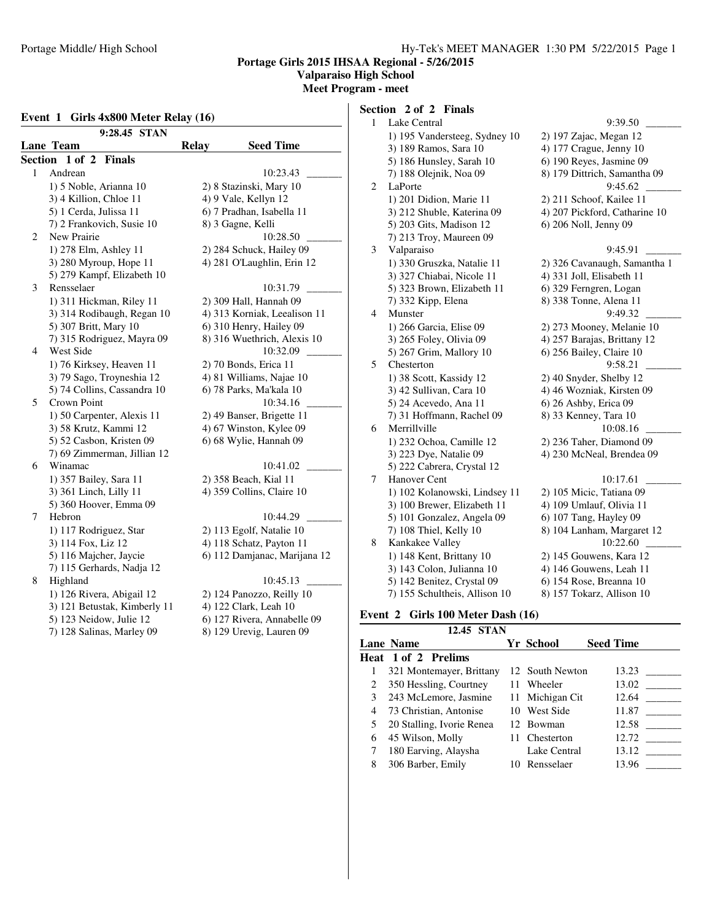## **Valparaiso High School**

**Meet Program - meet**

### **Event 1 Girls 4x800 Meter Relay (16)**

|                            | 9:28.45 STAN                 |                              |                  |  |  |
|----------------------------|------------------------------|------------------------------|------------------|--|--|
|                            | <b>Lane Team</b>             | <b>Relay</b>                 | <b>Seed Time</b> |  |  |
| Section                    | 1 of 2 Finals                |                              |                  |  |  |
| 1                          | Andrean                      |                              | 10:23.43         |  |  |
|                            | 1) 5 Noble, Arianna 10       | 2) 8 Stazinski, Mary 10      |                  |  |  |
|                            | 3) 4 Killion, Chloe 11       | 4) 9 Vale, Kellyn 12         |                  |  |  |
|                            | 5) 1 Cerda, Julissa 11       | 6) 7 Pradhan, Isabella 11    |                  |  |  |
|                            | 7) 2 Frankovich, Susie 10    | 8) 3 Gagne, Kelli            |                  |  |  |
| 2                          | New Prairie                  |                              | 10:28.50         |  |  |
|                            | 1) 278 Elm, Ashley 11        | 2) 284 Schuck, Hailey 09     |                  |  |  |
|                            | 3) 280 Myroup, Hope 11       | 4) 281 O'Laughlin, Erin 12   |                  |  |  |
| 5) 279 Kampf, Elizabeth 10 |                              |                              |                  |  |  |
| 3                          | Rensselaer                   |                              | 10:31.79         |  |  |
|                            | 1) 311 Hickman, Riley 11     | 2) 309 Hall, Hannah 09       |                  |  |  |
|                            | 3) 314 Rodibaugh, Regan 10   | 4) 313 Korniak, Leealison 11 |                  |  |  |
|                            | 5) 307 Britt, Mary 10        | 6) 310 Henry, Hailey 09      |                  |  |  |
|                            | 7) 315 Rodriguez, Mayra 09   | 8) 316 Wuethrich, Alexis 10  |                  |  |  |
| 4                          | West Side                    |                              | 10:32.09         |  |  |
|                            | 1) 76 Kirksey, Heaven 11     | 2) 70 Bonds, Erica 11        |                  |  |  |
|                            | 3) 79 Sago, Troyneshia 12    | 4) 81 Williams, Najae 10     |                  |  |  |
|                            | 5) 74 Collins, Cassandra 10  | 6) 78 Parks, Ma'kala 10      |                  |  |  |
| 5                          | <b>Crown Point</b>           |                              | 10:34.16         |  |  |
|                            | 1) 50 Carpenter, Alexis 11   | 2) 49 Banser, Brigette 11    |                  |  |  |
|                            | 3) 58 Krutz, Kammi 12        | 4) 67 Winston, Kylee 09      |                  |  |  |
|                            | 5) 52 Casbon, Kristen 09     | 6) 68 Wylie, Hannah 09       |                  |  |  |
|                            | 7) 69 Zimmerman, Jillian 12  |                              |                  |  |  |
| 6                          | Winamac                      |                              | 10:41.02         |  |  |
|                            | 1) 357 Bailey, Sara 11       | 2) 358 Beach, Kial 11        |                  |  |  |
|                            | 3) 361 Linch, Lilly 11       | 4) 359 Collins, Claire 10    |                  |  |  |
|                            | 5) 360 Hoover, Emma 09       |                              |                  |  |  |
| 7                          | Hebron                       |                              | 10:44.29         |  |  |
|                            | 1) 117 Rodriguez, Star       | 2) 113 Egolf, Natalie 10     |                  |  |  |
|                            | 3) 114 Fox, Liz 12           | 4) 118 Schatz, Payton 11     |                  |  |  |
|                            | 5) 116 Majcher, Jaycie       | 6) 112 Damjanac, Marijana 12 |                  |  |  |
|                            | 7) 115 Gerhards, Nadja 12    |                              |                  |  |  |
| 8                          | Highland                     |                              | 10:45.13         |  |  |
|                            | 1) 126 Rivera, Abigail 12    | 2) 124 Panozzo, Reilly 10    |                  |  |  |
|                            | 3) 121 Betustak, Kimberly 11 | 4) 122 Clark, Leah 10        |                  |  |  |
|                            | 5) 123 Neidow, Julie 12      | 6) 127 Rivera, Annabelle 09  |                  |  |  |
|                            | 7) 128 Salinas, Marley 09    | 8) 129 Urevig, Lauren 09     |                  |  |  |

# **Section 2 of 2 Finals**

| $\mathbf{1}$ | Lake Central                  | 9:39.50                       |
|--------------|-------------------------------|-------------------------------|
|              | 1) 195 Vandersteeg, Sydney 10 | 2) 197 Zajac, Megan 12        |
|              | 3) 189 Ramos, Sara 10         | 4) 177 Crague, Jenny 10       |
|              | 5) 186 Hunsley, Sarah 10      | 6) 190 Reyes, Jasmine 09      |
|              | 7) 188 Olejnik, Noa 09        | 8) 179 Dittrich, Samantha 09  |
| $\sqrt{2}$   | LaPorte                       | 9:45.62                       |
|              | 1) 201 Didion, Marie 11       | 2) 211 Schoof, Kailee 11      |
|              | 3) 212 Shuble, Katerina 09    | 4) 207 Pickford, Catharine 10 |
|              | 5) 203 Gits, Madison 12       | 6) 206 Noll, Jenny 09         |
|              | 7) 213 Troy, Maureen 09       |                               |
| 3            | Valparaiso                    | 9:45.91                       |
|              | 1) 330 Gruszka, Natalie 11    | 2) 326 Cavanaugh, Samantha 1  |
|              | 3) 327 Chiabai, Nicole 11     | 4) 331 Joll, Elisabeth 11     |
|              | 5) 323 Brown, Elizabeth 11    | 6) 329 Ferngren, Logan        |
|              | 7) 332 Kipp, Elena            | 8) 338 Tonne, Alena 11        |
| 4            | Munster                       | 9:49.32                       |
|              | 1) 266 Garcia, Elise 09       | 2) 273 Mooney, Melanie 10     |
|              | 3) 265 Foley, Olivia 09       | 4) 257 Barajas, Brittany 12   |
|              | 5) 267 Grim, Mallory 10       | 6) 256 Bailey, Claire 10      |
| 5            | Chesterton                    | 9:58.21                       |
|              | 1) 38 Scott, Kassidy 12       | 2) 40 Snyder, Shelby 12       |
|              | 3) 42 Sullivan, Cara 10       | 4) 46 Wozniak, Kirsten 09     |
|              | 5) 24 Acevedo, Ana 11         | 6) 26 Ashby, Erica 09         |
|              | 7) 31 Hoffmann, Rachel 09     | 8) 33 Kenney, Tara 10         |
| 6            | Merrillville                  | 10:08.16                      |
|              | 1) 232 Ochoa, Camille 12      | 2) 236 Taher, Diamond 09      |
|              | 3) 223 Dye, Natalie 09        | 4) 230 McNeal, Brendea 09     |
|              | 5) 222 Cabrera, Crystal 12    |                               |
| 7            | Hanover Cent                  | 10:17.61                      |
|              | 1) 102 Kolanowski, Lindsey 11 | 2) 105 Micic, Tatiana 09      |
|              | 3) 100 Brewer, Elizabeth 11   | 4) 109 Umlauf, Olivia 11      |
|              | 5) 101 Gonzalez, Angela 09    | 6) 107 Tang, Hayley 09        |
|              | 7) 108 Thiel, Kelly 10        | 8) 104 Lanham, Margaret 12    |
| 8            | Kankakee Valley               | 10:22.60                      |
|              | 1) 148 Kent, Brittany 10      | 2) 145 Gouwens, Kara 12       |
|              | 3) 143 Colon, Julianna 10     | 4) 146 Gouwens, Leah 11       |
|              | 5) 142 Benitez, Crystal 09    | 6) 154 Rose, Breanna 10       |
|              | 7) 155 Schultheis, Allison 10 | 8) 157 Tokarz, Allison 10     |
|              |                               |                               |

# **Event 2 Girls 100 Meter Dash (16)**

|   | 12.45 STAN                 |                  |                  |
|---|----------------------------|------------------|------------------|
|   | <b>Lane Name</b>           | <b>Yr School</b> | <b>Seed Time</b> |
|   | <b>Heat 1 of 2 Prelims</b> |                  |                  |
|   | 321 Montemayer, Brittany   | 12 South Newton  | 13.23            |
|   | 350 Hessling, Courtney     | 11 Wheeler       | 13.02            |
| 3 | 243 McLemore, Jasmine      | 11 Michigan Cit  | 12.64            |
| 4 | 73 Christian, Antonise     | 10 West Side     | 11.87            |
|   | 20 Stalling, Ivorie Renea  | 12 Bowman        | 12.58            |
| 6 | 45 Wilson, Molly           | 11 Chesterton    | 12.72            |
|   | 180 Earving, Alaysha       | Lake Central     | 13.12            |
| 8 | 306 Barber, Emily          | 10 Rensselaer    | 13.96            |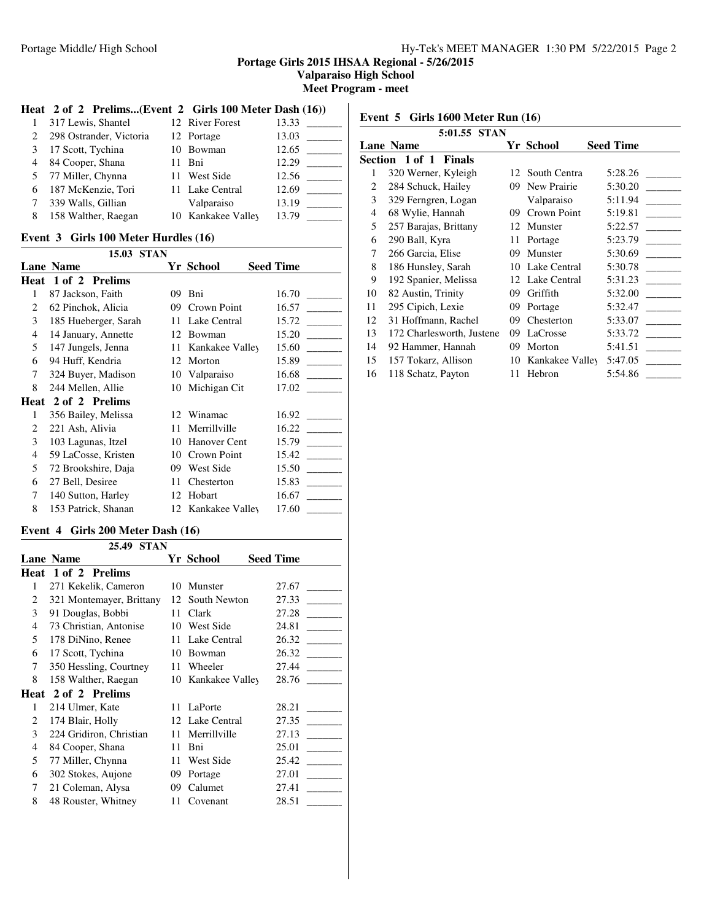**Valparaiso High School**

**Meet Program - meet**

## **Heat 2 of 2 Prelims...(Event 2 Girls 100 Meter Dash (16))**

|   | 317 Lewis, Shantel      | 12 River Forest    | 13.33 |
|---|-------------------------|--------------------|-------|
|   | 298 Ostrander, Victoria | 12 Portage         | 13.03 |
|   | 17 Scott, Tychina       | 10 Bowman          | 12.65 |
| 4 | 84 Cooper, Shana        | 11 Bni             | 12.29 |
|   | 5 77 Miller, Chynna     | 11 West Side       | 12.56 |
| 6 | 187 McKenzie, Tori      | 11 Lake Central    | 12.69 |
|   | 339 Walls, Gillian      | Valparaiso         | 13.19 |
| 8 | 158 Walther, Raegan     | 10 Kankakee Valley | 13.79 |

## **Event 3 Girls 100 Meter Hurdles (16)**

|                | 15.03<br><b>STAN</b> |    |                 |                  |
|----------------|----------------------|----|-----------------|------------------|
|                | Lane Name            |    | Yr School       | <b>Seed Time</b> |
| Heat           | 1 of 2 Prelims       |    |                 |                  |
| 1              | 87 Jackson, Faith    | 09 | Bni             | 16.70            |
| 2              | 62 Pinchok, Alicia   | 09 | Crown Point     | 16.57            |
| 3              | 185 Hueberger, Sarah | 11 | Lake Central    | 15.72            |
| $\overline{4}$ | 14 January, Annette  | 12 | Bowman          | 15.20            |
| 5              | 147 Jungels, Jenna   | 11 | Kankakee Valley | 15.60            |
| 6              | 94 Huff, Kendria     | 12 | Morton          | 15.89            |
| 7              | 324 Buyer, Madison   | 10 | Valparaiso      | 16.68            |
| 8              | 244 Mellen, Allie    | 10 | Michigan Cit    | 17.02            |
| Heat           | 2 of 2 Prelims       |    |                 |                  |
| 1              | 356 Bailey, Melissa  | 12 | Winamac         | 16.92            |
| 2              | 221 Ash, Alivia      | 11 | Merrillville    | 16.22            |
| 3              | 103 Lagunas, Itzel   | 10 | Hanover Cent    | 15.79            |
| 4              | 59 LaCosse, Kristen  | 10 | Crown Point     | 15.42            |
| 5              | 72 Brookshire, Daja  | 09 | West Side       | 15.50            |
| 6              | 27 Bell, Desiree     | 11 | Chesterton      | 15.83            |
| 7              | 140 Sutton, Harley   | 12 | Hobart          | 16.67            |
| 8              | 153 Patrick, Shanan  | 12 | Kankakee Valley | 17.60            |

## **Event 4 Girls 200 Meter Dash (16)**

|      | <b>STAN</b><br>25.49     |    |                 |                  |  |  |
|------|--------------------------|----|-----------------|------------------|--|--|
|      | <b>Lane Name</b>         |    | Yr School       | <b>Seed Time</b> |  |  |
| Heat | 1 of 2 Prelims           |    |                 |                  |  |  |
| 1    | 271 Kekelik, Cameron     | 10 | Munster         | 27.67            |  |  |
| 2    | 321 Montemayer, Brittany | 12 | South Newton    | 27.33            |  |  |
| 3    | 91 Douglas, Bobbi        | 11 | Clark           | 27.28            |  |  |
| 4    | 73 Christian, Antonise   | 10 | West Side       | 24.81            |  |  |
| 5    | 178 DiNino, Renee        | 11 | Lake Central    | 26.32            |  |  |
| 6    | 17 Scott, Tychina        | 10 | Bowman          | 26.32            |  |  |
| 7    | 350 Hessling, Courtney   | 11 | Wheeler         | 27.44            |  |  |
| 8    | 158 Walther, Raegan      | 10 | Kankakee Valley | 28.76            |  |  |
| Heat | 2 of 2 Prelims           |    |                 |                  |  |  |
| 1    | 214 Ulmer, Kate          | 11 | LaPorte         | 28.21            |  |  |
| 2    | 174 Blair, Holly         | 12 | Lake Central    | 27.35            |  |  |
| 3    | 224 Gridiron, Christian  | 11 | Merrillville    | 27.13            |  |  |
| 4    | 84 Cooper, Shana         | 11 | Bni             | 25.01            |  |  |
| 5    | 77 Miller, Chynna        | 11 | West Side       | 25.42            |  |  |
| 6    | 302 Stokes, Aujone       | 09 | Portage         | 27.01            |  |  |
| 7    | 21 Coleman, Alysa        | 09 | Calumet         | 27.41            |  |  |
| 8    | 48 Rouster, Whitney      | 11 | Covenant        | 28.51            |  |  |

**Event 5 Girls 1600 Meter Run (16)**

|                | 5:01.55 STAN              |    |                 |                  |
|----------------|---------------------------|----|-----------------|------------------|
|                | <b>Lane Name</b>          |    | Yr School       | <b>Seed Time</b> |
|                | Section 1 of 1 Finals     |    |                 |                  |
| 1              | 320 Werner, Kyleigh       |    | 12 South Centra | 5:28.26          |
| 2              | 284 Schuck, Hailey        | 09 | New Prairie     | 5:30.20          |
| 3              | 329 Ferngren, Logan       |    | Valparaiso      | 5:11.94          |
| $\overline{4}$ | 68 Wylie, Hannah          | 09 | Crown Point     | 5:19.81          |
| 5              | 257 Barajas, Brittany     | 12 | Munster         | 5:22.57          |
| 6              | 290 Ball, Kyra            | 11 | Portage         | 5:23.79          |
| 7              | 266 Garcia, Elise         | 09 | Munster         | 5:30.69          |
| 8              | 186 Hunsley, Sarah        | 10 | Lake Central    | 5:30.78          |
| 9              | 192 Spanier, Melissa      | 12 | Lake Central    | 5:31.23          |
| 10             | 82 Austin, Trinity        | 09 | Griffith        | 5:32.00          |
| 11             | 295 Cipich, Lexie         | 09 | Portage         | 5:32.47          |
| 12             | 31 Hoffmann, Rachel       | 09 | Chesterton      | 5:33.07          |
| 13             | 172 Charlesworth, Justene | 09 | LaCrosse        | 5:33.72          |
| 14             | 92 Hammer, Hannah         | 09 | Morton          | 5:41.51          |
| 15             | 157 Tokarz, Allison       | 10 | Kankakee Valley | 5:47.05          |
| 16             | 118 Schatz, Payton        | 11 | Hebron          | 5:54.86          |
|                |                           |    |                 |                  |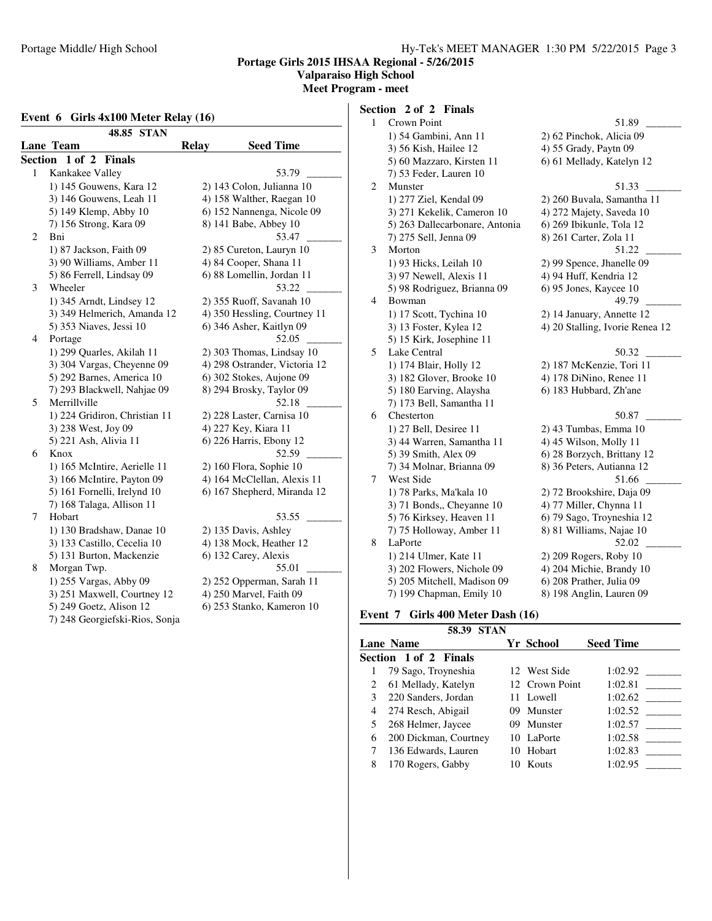## **Valparaiso High School**

**Meet Program - meet**

#### **Event 6 Girls 4x100 Meter Relay (16)**

|                      | 48.85 STAN                     |              |                               |  |  |  |  |
|----------------------|--------------------------------|--------------|-------------------------------|--|--|--|--|
| <b>Lane Team</b>     |                                | <b>Relay</b> | <b>Seed Time</b>              |  |  |  |  |
| <b>Section</b>       | 1 of 2 Finals                  |              |                               |  |  |  |  |
| Kankakee Valley<br>1 |                                |              | 53.79                         |  |  |  |  |
|                      | 1) 145 Gouwens, Kara 12        |              | 2) 143 Colon, Julianna 10     |  |  |  |  |
|                      | 3) 146 Gouwens, Leah 11        |              | 4) 158 Walther, Raegan 10     |  |  |  |  |
|                      | 5) 149 Klemp, Abby 10          |              | 6) 152 Nannenga, Nicole 09    |  |  |  |  |
|                      | 7) 156 Strong, Kara 09         |              | 8) 141 Babe, Abbey 10         |  |  |  |  |
| 2<br>Bni             |                                |              | 53.47                         |  |  |  |  |
|                      | 1) 87 Jackson, Faith 09        |              | 2) 85 Cureton, Lauryn 10      |  |  |  |  |
|                      | 3) 90 Williams, Amber 11       |              | 4) 84 Cooper, Shana 11        |  |  |  |  |
|                      | 5) 86 Ferrell, Lindsay 09      |              | 6) 88 Lomellin, Jordan 11     |  |  |  |  |
| 3<br>Wheeler         |                                |              | 53.22                         |  |  |  |  |
|                      | 1) 345 Arndt, Lindsey 12       |              | 2) 355 Ruoff, Savanah 10      |  |  |  |  |
|                      | 3) 349 Helmerich, Amanda 12    |              | 4) 350 Hessling, Courtney 11  |  |  |  |  |
|                      | 5) 353 Niaves, Jessi 10        |              | 6) 346 Asher, Kaitlyn 09      |  |  |  |  |
| Portage<br>4         |                                |              | 52.05                         |  |  |  |  |
|                      | 1) 299 Quarles, Akilah 11      |              | 2) 303 Thomas, Lindsay 10     |  |  |  |  |
|                      | 3) 304 Vargas, Cheyenne 09     |              | 4) 298 Ostrander, Victoria 12 |  |  |  |  |
|                      | 5) 292 Barnes, America 10      |              | 6) 302 Stokes, Aujone 09      |  |  |  |  |
|                      | 7) 293 Blackwell, Nahjae 09    |              | 8) 294 Brosky, Taylor 09      |  |  |  |  |
| Merrillville<br>5    |                                |              | 52.18                         |  |  |  |  |
|                      | 1) 224 Gridiron, Christian 11  |              | 2) 228 Laster, Carnisa 10     |  |  |  |  |
|                      | 3) 238 West, Joy 09            |              | 4) 227 Key, Kiara 11          |  |  |  |  |
|                      | 5) 221 Ash, Alivia 11          |              | 6) 226 Harris, Ebony 12       |  |  |  |  |
| 6<br>Knox            |                                |              | 52.59                         |  |  |  |  |
|                      | 1) 165 McIntire, Aerielle 11   |              | 2) 160 Flora, Sophie 10       |  |  |  |  |
|                      | 3) 166 McIntire, Payton 09     |              | 4) 164 McClellan, Alexis 11   |  |  |  |  |
|                      | 5) 161 Fornelli, Irelynd 10    |              | 6) 167 Shepherd, Miranda 12   |  |  |  |  |
|                      | 7) 168 Talaga, Allison 11      |              |                               |  |  |  |  |
| Hobart<br>7          |                                |              | 53.55                         |  |  |  |  |
|                      | 1) 130 Bradshaw, Danae 10      |              | 2) 135 Davis, Ashley          |  |  |  |  |
|                      | 3) 133 Castillo, Cecelia 10    |              | 4) 138 Mock, Heather 12       |  |  |  |  |
|                      | 5) 131 Burton, Mackenzie       |              | 6) 132 Carey, Alexis          |  |  |  |  |
| 8<br>Morgan Twp.     |                                |              | 55.01                         |  |  |  |  |
|                      | 1) 255 Vargas, Abby 09         |              | 2) 252 Opperman, Sarah 11     |  |  |  |  |
|                      | 3) 251 Maxwell, Courtney 12    |              | 4) 250 Marvel, Faith 09       |  |  |  |  |
|                      | 5) 249 Goetz, Alison 12        |              | 6) 253 Stanko, Kameron 10     |  |  |  |  |
|                      | 7) 248 Georgiefski-Rios, Sonja |              |                               |  |  |  |  |

# **Section 2 of 2 Finals**

| $\mathbf{1}$ | Crown Point                    | 51.89                           |
|--------------|--------------------------------|---------------------------------|
|              | 1) 54 Gambini, Ann 11          | 2) 62 Pinchok, Alicia 09        |
|              | 3) 56 Kish, Hailee 12          | 4) 55 Grady, Paytn 09           |
|              | 5) 60 Mazzaro, Kirsten 11      | 6) 61 Mellady, Katelyn 12       |
|              | 7) 53 Feder, Lauren 10         |                                 |
| 2            | Munster                        | 51.33                           |
|              | 1) 277 Ziel, Kendal 09         | 2) 260 Buvala, Samantha 11      |
|              | 3) 271 Kekelik, Cameron 10     | 4) 272 Majety, Saveda 10        |
|              | 5) 263 Dallecarbonare, Antonia | 6) 269 Ibikunle, Tola 12        |
|              | 7) 275 Sell, Jenna 09          | 8) 261 Carter, Zola 11          |
| 3            | Morton                         | 51.22                           |
|              | 1) 93 Hicks, Leilah 10         | 2) 99 Spence, Jhanelle 09       |
|              | 3) 97 Newell, Alexis 11        | 4) 94 Huff, Kendria 12          |
|              | 5) 98 Rodriguez, Brianna 09    | 6) 95 Jones, Kaycee 10          |
| 4            | Bowman                         | 49.79                           |
|              | 1) 17 Scott, Tychina 10        | 2) 14 January, Annette 12       |
|              | 3) 13 Foster, Kylea 12         | 4) 20 Stalling, Ivorie Renea 12 |
|              | 5) 15 Kirk, Josephine 11       |                                 |
| 5            | Lake Central                   | 50.32                           |
|              | 1) 174 Blair, Holly 12         | 2) 187 McKenzie, Tori 11        |
|              | 3) 182 Glover, Brooke 10       | 4) 178 DiNino, Renee 11         |
|              | 5) 180 Earving, Alaysha        | 6) 183 Hubbard, Zh'ane          |
|              | 7) 173 Bell, Samantha 11       |                                 |
| 6            | Chesterton                     | 50.87                           |
|              | 1) 27 Bell, Desiree 11         | 2) 43 Tumbas, Emma 10           |
|              | 3) 44 Warren, Samantha 11      | 4) 45 Wilson, Molly 11          |
|              | 5) 39 Smith, Alex 09           | 6) 28 Borzych, Brittany 12      |
|              | 7) 34 Molnar, Brianna 09       | 8) 36 Peters, Autianna 12       |
| 7            | West Side                      | 51.66                           |
|              | 1) 78 Parks, Ma'kala 10        | 2) 72 Brookshire, Daja 09       |
|              | 3) 71 Bonds, Cheyanne 10       | 4) 77 Miller, Chynna 11         |
|              | 5) 76 Kirksey, Heaven 11       | 6) 79 Sago, Troyneshia 12       |
|              | 7) 75 Holloway, Amber 11       | 8) 81 Williams, Najae 10        |
| 8            | LaPorte                        | 52.02                           |
|              | 1) 214 Ulmer, Kate 11          | 2) 209 Rogers, Roby 10          |
|              | 3) 202 Flowers, Nichole 09     | 4) 204 Michie, Brandy 10        |
|              | 5) 205 Mitchell, Madison 09    | 6) 208 Prather, Julia 09        |
|              | 7) 199 Chapman, Emily 10       | 8) 198 Anglin, Lauren 09        |
|              |                                |                                 |

# **Event 7 Girls 400 Meter Dash (16)**

|   | 58.39<br><b>STAN</b>  |    |                |                  |
|---|-----------------------|----|----------------|------------------|
|   | <b>Lane Name</b>      |    | Yr School      | <b>Seed Time</b> |
|   | Section 1 of 2 Finals |    |                |                  |
|   | 79 Sago, Troyneshia   |    | 12 West Side   | 1:02.92          |
| 2 | 61 Mellady, Katelyn   |    | 12 Crown Point | 1:02.81          |
| 3 | 220 Sanders, Jordan   |    | 11 Lowell      | 1:02.62          |
| 4 | 274 Resch, Abigail    | 09 | Munster        | 1:02.52          |
|   | 268 Helmer, Jaycee    |    | 09 Munster     | 1:02.57          |
| 6 | 200 Dickman, Courtney |    | 10 LaPorte     | 1:02.58          |
|   | 136 Edwards, Lauren   | 10 | Hobart         | 1:02.83          |
| 8 | 170 Rogers, Gabby     |    | Kouts          | 1:02.95          |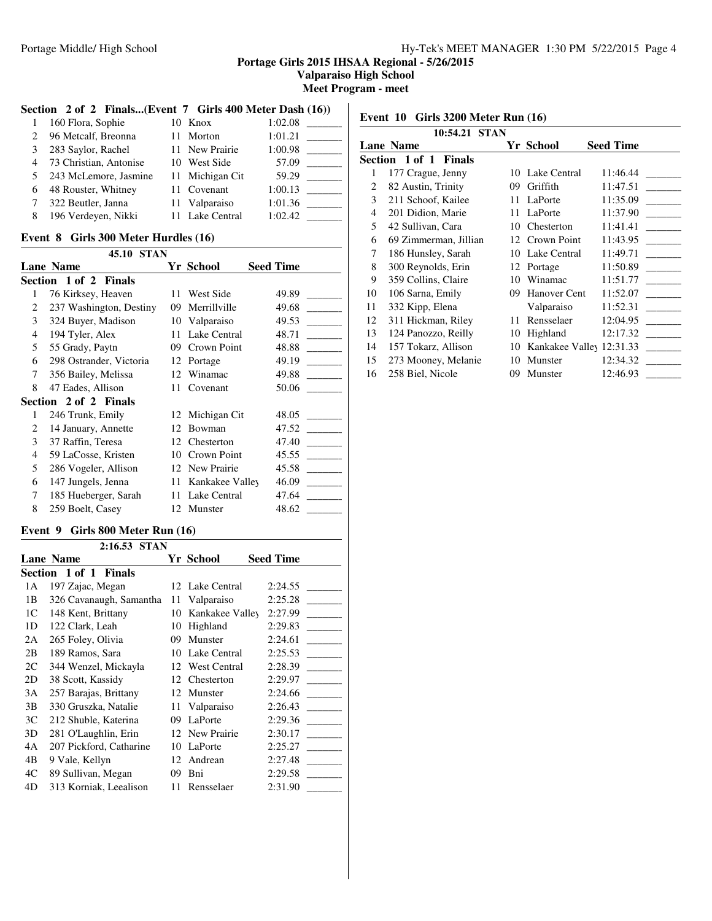**Valparaiso High School**

**Meet Program - meet**

## **Section 2 of 2 Finals...(Event 7 Girls 400 Meter Dash (16))**

| 1              | 160 Flora, Sophie      | 10 Knox         | 1:02.08 |
|----------------|------------------------|-----------------|---------|
| 2              | 96 Metcalf, Breonna    | 11 Morton       | 1:01.21 |
| 3              | 283 Saylor, Rachel     | 11 New Prairie  | 1:00.98 |
| $\overline{4}$ | 73 Christian, Antonise | 10 West Side    | 57.09   |
| 5              | 243 McLemore, Jasmine  | 11 Michigan Cit | 59.29   |
| 6              | 48 Rouster, Whitney    | 11 Covenant     | 1:00.13 |
| 7              | 322 Beutler, Janna     | 11 Valparaiso   | 1:01.36 |
| 8              | 196 Verdeyen, Nikki    | 11 Lake Central | 1:02.42 |

#### **Event 8 Girls 300 Meter Hurdles (16)**

|                | <b>STAN</b><br>45.10    |     |                 |                  |
|----------------|-------------------------|-----|-----------------|------------------|
|                | <b>Lane Name</b>        |     | Yr School       | <b>Seed Time</b> |
|                | Section 1 of 2 Finals   |     |                 |                  |
| 1              | 76 Kirksey, Heaven      | 11  | West Side       | 49.89            |
| 2              | 237 Washington, Destiny | 09  | Merrillville    | 49.68            |
| 3              | 324 Buyer, Madison      | 10  | Valparaiso      | 49.53            |
| $\overline{4}$ | 194 Tyler, Alex         | 11  | Lake Central    | 48.71            |
| 5              | 55 Grady, Paytn         | 09  | Crown Point     | 48.88            |
| 6              | 298 Ostrander, Victoria | 12  | Portage         | 49.19            |
| 7              | 356 Bailey, Melissa     | 12  | Winamac         | 49.88            |
| 8              | 47 Eades, Allison       | 11  | Covenant        | 50.06            |
|                | Section 2 of 2 Finals   |     |                 |                  |
| 1              | 246 Trunk, Emily        | 12  | Michigan Cit    | 48.05            |
| 2              | 14 January, Annette     | 12  | Bowman          | 47.52            |
| 3              | 37 Raffin, Teresa       | 12. | Chesterton      | 47.40            |
| $\overline{4}$ | 59 LaCosse, Kristen     | 10  | Crown Point     | 45.55            |
| 5              | 286 Vogeler, Allison    | 12  | New Prairie     | 45.58            |
| 6              | 147 Jungels, Jenna      | 11  | Kankakee Valley | 46.09            |
| 7              | 185 Hueberger, Sarah    | 11  | Lake Central    | 47.64            |
| 8              | 259 Boelt, Casey        | 12  | Munster         | 48.62            |

# **Event 9 Girls 800 Meter Run (16)**

|                | 2:16.53 STAN                    |     |                     |                  |
|----------------|---------------------------------|-----|---------------------|------------------|
|                | <b>Lane Name</b>                |     | Yr School           | <b>Seed Time</b> |
|                | Section 1 of 1<br><b>Finals</b> |     |                     |                  |
| 1А             | 197 Zajac, Megan                | 12. | Lake Central        | 2:24.55          |
| 1B             | 326 Cavanaugh, Samantha         | 11  | Valparaiso          | 2:25.28          |
| 1 <sup>C</sup> | 148 Kent, Brittany              | 10  | Kankakee Valley     | 2:27.99          |
| 1D             | 122 Clark, Leah                 | 10  | Highland            | 2:29.83          |
| 2A             | 265 Foley, Olivia               | 09  | Munster             | 2:24.61          |
| 2B             | 189 Ramos, Sara                 | 10  | Lake Central        | 2:25.53          |
| 2C             | 344 Wenzel, Mickayla            | 12  | <b>West Central</b> | 2:28.39          |
| 2D             | 38 Scott, Kassidy               | 12  | Chesterton          | 2:29.97          |
| 3A             | 257 Barajas, Brittany           | 12  | Munster             | 2:24.66          |
| 3B             | 330 Gruszka, Natalie            | 11  | Valparaiso          | 2:26.43          |
| 3C             | 212 Shuble, Katerina            | 09  | LaPorte             | 2:29.36          |
| 3D             | 281 O'Laughlin, Erin            | 12. | New Prairie         | 2:30.17          |
| 4A             | 207 Pickford, Catharine         | 10  | LaPorte             | 2:25.27          |
| 4B             | 9 Vale, Kellyn                  | 12  | Andrean             | 2:27.48          |
| 4C             | 89 Sullivan, Megan              | 09  | Bni                 | 2:29.58          |
| 4D             | 313 Korniak, Leealison          | 11  | Rensselaer          | 2:31.90          |

# **Event 10 Girls 3200 Meter Run (16)**

|                | 10:54.21 STAN         |    |                             |                                                     |
|----------------|-----------------------|----|-----------------------------|-----------------------------------------------------|
|                | <b>Lane Name</b>      |    | Yr School                   | <b>Seed Time</b>                                    |
|                | Section 1 of 1 Finals |    |                             |                                                     |
| 1              | 177 Crague, Jenny     |    | 10 Lake Central             | 11:46.44                                            |
| 2              | 82 Austin, Trinity    | 09 | Griffith                    | 11:47.51                                            |
| 3              | 211 Schoof, Kailee    |    | 11 LaPorte                  | 11:35.09                                            |
| $\overline{4}$ | 201 Didion, Marie     |    | 11 LaPorte                  | 11:37.90                                            |
| 5              | 42 Sullivan, Cara     |    | 10 Chesterton               | 11:41.41                                            |
| 6              | 69 Zimmerman, Jillian |    | 12 Crown Point              | 11:43.95                                            |
| 7              | 186 Hunsley, Sarah    |    | 10 Lake Central             | 11:49.71                                            |
| 8              | 300 Reynolds, Erin    |    | 12 Portage                  | 11:50.89<br>$\mathcal{L}^{\text{max}}_{\text{max}}$ |
| 9              | 359 Collins, Claire   | 10 | Winamac                     | 11:51.77                                            |
| 10             | 106 Sarna, Emily      |    | 09 Hanover Cent             | 11:52.07                                            |
| 11             | 332 Kipp, Elena       |    | Valparaiso                  | 11:52.31                                            |
| 12             | 311 Hickman, Riley    | 11 | Rensselaer                  | 12:04.95                                            |
| 13             | 124 Panozzo, Reilly   |    | 10 Highland                 | 12:17.32                                            |
| 14             | 157 Tokarz, Allison   |    | 10 Kankakee Valley 12:31.33 |                                                     |
| 15             | 273 Mooney, Melanie   | 10 | Munster                     | 12:34.32                                            |
| 16             | 258 Biel, Nicole      | 09 | Munster                     | 12:46.93                                            |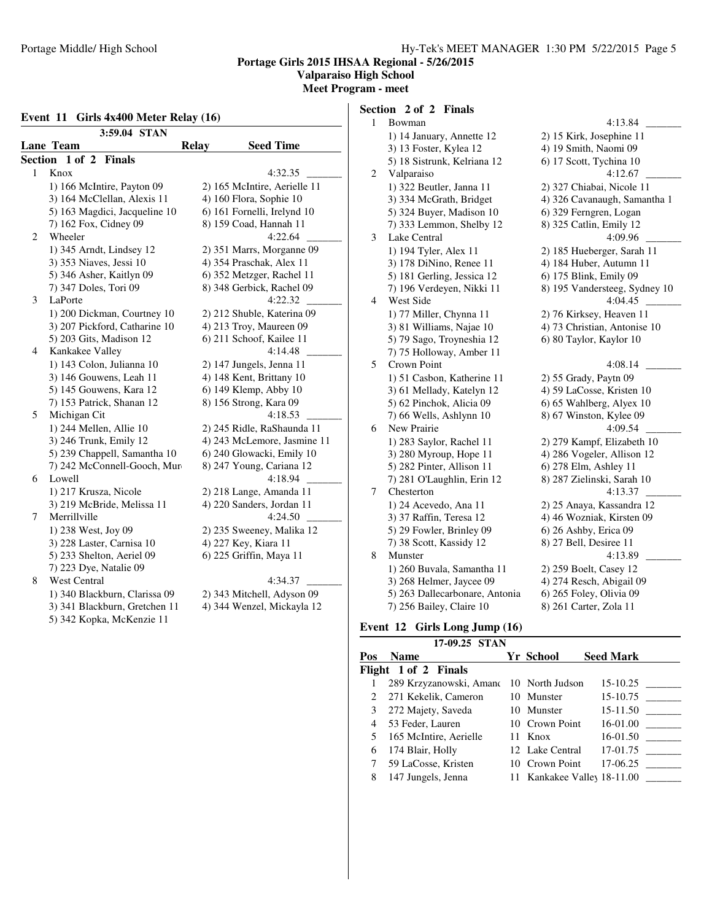## **Valparaiso High School**

**Meet Program - meet**

#### **Event 11 Girls 4x400 Meter Relay (16)**

| 3:59.04 STAN |                               |                                  |  |  |  |
|--------------|-------------------------------|----------------------------------|--|--|--|
|              | Lane Team                     | <b>Relay</b><br><b>Seed Time</b> |  |  |  |
| Section      | 1 of 2 Finals                 |                                  |  |  |  |
| 1            | Knox                          | 4:32.35                          |  |  |  |
|              | 1) 166 McIntire, Payton 09    | 2) 165 McIntire, Aerielle 11     |  |  |  |
|              | 3) 164 McClellan, Alexis 11   | 4) 160 Flora, Sophie 10          |  |  |  |
|              | 5) 163 Magdici, Jacqueline 10 | 6) 161 Fornelli, Irelynd 10      |  |  |  |
|              | 7) 162 Fox, Cidney 09         | 8) 159 Coad, Hannah 11           |  |  |  |
| 2            | Wheeler                       | 4:22.64                          |  |  |  |
|              | 1) 345 Arndt, Lindsey 12      | 2) 351 Marrs, Morganne 09        |  |  |  |
|              | 3) 353 Niaves, Jessi 10       | 4) 354 Praschak, Alex 11         |  |  |  |
|              | 5) 346 Asher, Kaitlyn 09      | 6) 352 Metzger, Rachel 11        |  |  |  |
|              | 7) 347 Doles, Tori 09         | 8) 348 Gerbick, Rachel 09        |  |  |  |
| 3            | LaPorte                       | 4:22.32                          |  |  |  |
|              | 1) 200 Dickman, Courtney 10   | 2) 212 Shuble, Katerina 09       |  |  |  |
|              | 3) 207 Pickford, Catharine 10 | 4) 213 Troy, Maureen 09          |  |  |  |
|              | 5) 203 Gits, Madison 12       | 6) 211 Schoof, Kailee 11         |  |  |  |
| 4            | Kankakee Valley               | 4:14.48                          |  |  |  |
|              | 1) 143 Colon, Julianna 10     | 2) 147 Jungels, Jenna 11         |  |  |  |
|              | 3) 146 Gouwens, Leah 11       | 4) 148 Kent, Brittany 10         |  |  |  |
|              | 5) 145 Gouwens, Kara 12       | 6) 149 Klemp, Abby 10            |  |  |  |
|              | 7) 153 Patrick, Shanan 12     | 8) 156 Strong, Kara 09           |  |  |  |
| 5            | Michigan Cit                  | 4:18.53                          |  |  |  |
|              | 1) 244 Mellen, Allie 10       | 2) 245 Ridle, RaShaunda 11       |  |  |  |
|              | 3) 246 Trunk, Emily 12        | 4) 243 McLemore, Jasmine 11      |  |  |  |
|              | 5) 239 Chappell, Samantha 10  | 6) 240 Glowacki, Emily 10        |  |  |  |
|              | 7) 242 McConnell-Gooch, Mur   | 8) 247 Young, Cariana 12         |  |  |  |
| 6            | Lowell                        | 4:18.94                          |  |  |  |
|              | 1) 217 Krusza, Nicole         | 2) 218 Lange, Amanda 11          |  |  |  |
|              | 3) 219 McBride, Melissa 11    | 4) 220 Sanders, Jordan 11        |  |  |  |
| 7            | Merrillville                  | 4:24.50                          |  |  |  |
|              | 1) 238 West, Joy 09           | 2) 235 Sweeney, Malika 12        |  |  |  |
|              | 3) 228 Laster, Carnisa 10     | 4) 227 Key, Kiara 11             |  |  |  |
|              | 5) 233 Shelton, Aeriel 09     | 6) 225 Griffin, Maya 11          |  |  |  |
|              | 7) 223 Dye, Natalie 09        |                                  |  |  |  |
| 8            | <b>West Central</b>           | 4:34.37                          |  |  |  |
|              | 1) 340 Blackburn, Clarissa 09 | 2) 343 Mitchell, Adyson 09       |  |  |  |
|              | 3) 341 Blackburn, Gretchen 11 | 4) 344 Wenzel, Mickayla 12       |  |  |  |
|              | 5) 342 Kopka, McKenzie 11     |                                  |  |  |  |

# **Section 2 of 2 Finals**

| $\mathbf{1}$ | Bowman                         | 4:13.84                       |
|--------------|--------------------------------|-------------------------------|
|              | 1) 14 January, Annette 12      | 2) 15 Kirk, Josephine 11      |
|              | 3) 13 Foster, Kylea 12         | 4) 19 Smith, Naomi 09         |
|              | 5) 18 Sistrunk, Kelriana 12    | 6) 17 Scott, Tychina 10       |
| 2            | Valparaiso                     | 4:12.67                       |
|              | 1) 322 Beutler, Janna 11       | 2) 327 Chiabai, Nicole 11     |
|              | 3) 334 McGrath, Bridget        | 4) 326 Cavanaugh, Samantha 1  |
|              | 5) 324 Buyer, Madison 10       | 6) 329 Ferngren, Logan        |
|              | 7) 333 Lemmon, Shelby 12       | 8) 325 Catlin, Emily 12       |
| 3            | Lake Central                   | 4:09.96                       |
|              | 1) 194 Tyler, Alex 11          | 2) 185 Hueberger, Sarah 11    |
|              | 3) 178 DiNino, Renee 11        | 4) 184 Huber, Autumn 11       |
|              | 5) 181 Gerling, Jessica 12     | 6) 175 Blink, Emily 09        |
|              | 7) 196 Verdeyen, Nikki 11      | 8) 195 Vandersteeg, Sydney 10 |
| 4            | West Side                      | 4:04.45                       |
|              | 1) 77 Miller, Chynna 11        | 2) 76 Kirksey, Heaven 11      |
|              | 3) 81 Williams, Najae 10       | 4) 73 Christian, Antonise 10  |
|              | 5) 79 Sago, Troyneshia 12      | 6) 80 Taylor, Kaylor 10       |
|              | 7) 75 Holloway, Amber 11       |                               |
| 5            | Crown Point                    | 4:08.14                       |
|              | 1) 51 Casbon, Katherine 11     | 2) 55 Grady, Paytn 09         |
|              | 3) 61 Mellady, Katelyn 12      | 4) 59 LaCosse, Kristen 10     |
|              | 5) 62 Pinchok, Alicia 09       | 6) 65 Wahlberg, Alyex 10      |
|              | 7) 66 Wells, Ashlynn 10        | 8) 67 Winston, Kylee 09       |
| 6            | New Prairie                    | 4:09.54                       |
|              | 1) 283 Saylor, Rachel 11       | 2) 279 Kampf, Elizabeth 10    |
|              | 3) 280 Myroup, Hope 11         | 4) 286 Vogeler, Allison 12    |
|              | 5) 282 Pinter, Allison 11      | 6) 278 Elm, Ashley 11         |
|              | 7) 281 O'Laughlin, Erin 12     | 8) 287 Zielinski, Sarah 10    |
| 7            | Chesterton                     | 4:13.37                       |
|              | 1) 24 Acevedo, Ana 11          | 2) 25 Anaya, Kassandra 12     |
|              | 3) 37 Raffin, Teresa 12        | 4) 46 Wozniak, Kirsten 09     |
|              | 5) 29 Fowler, Brinley 09       | $6$ ) 26 Ashby, Erica 09      |
|              | 7) 38 Scott, Kassidy 12        | 8) 27 Bell, Desiree 11        |
| 8            | Munster                        | 4:13.89                       |
|              | 1) 260 Buvala, Samantha 11     | 2) 259 Boelt, Casey 12        |
|              | 3) 268 Helmer, Jaycee 09       | 4) 274 Resch, Abigail 09      |
|              | 5) 263 Dallecarbonare, Antonia | 6) 265 Foley, Olivia 09       |
|              | 7) 256 Bailey, Claire 10       | 8) 261 Carter, Zola 11        |

# **Event 12 Girls Long Jump (16)**

|                               | 17-09.25 STAN                           |                             |                  |
|-------------------------------|-----------------------------------------|-----------------------------|------------------|
| Pos                           | <b>Name</b>                             | Yr School                   | <b>Seed Mark</b> |
|                               | Flight 1 of 2 Finals                    |                             |                  |
|                               | 289 Krzyzanowski, Amanc 10 North Judson |                             | 15-10.25         |
| $\mathfrak{D}_{\mathfrak{p}}$ | 271 Kekelik, Cameron                    | 10 Munster                  | 15-10.75         |
| 3                             | 272 Majety, Saveda                      | 10 Munster                  | 15-11.50         |
| 4                             | 53 Feder, Lauren                        | 10 Crown Point              | 16-01.00         |
| 5                             | 165 McIntire, Aerielle                  | 11 Knox                     | 16-01.50         |
| 6                             | 174 Blair, Holly                        | 12 Lake Central             | $17-01.75$       |
|                               | 59 LaCosse, Kristen                     | 10 Crown Point              |                  |
| 8                             | 147 Jungels, Jenna                      | 11 Kankakee Valley 18-11.00 |                  |